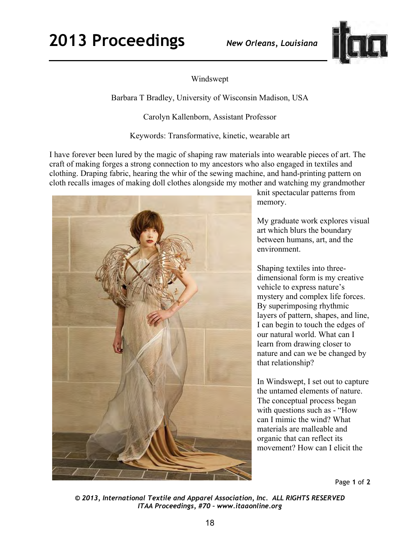## **2013 Proceedings** *New Orleans, Louisiana*



## Windswept

Barbara T Bradley, University of Wisconsin Madison, USA

Carolyn Kallenborn, Assistant Professor

Keywords: Transformative, kinetic, wearable art

I have forever been lured by the magic of shaping raw materials into wearable pieces of art. The craft of making forges a strong connection to my ancestors who also engaged in textiles and clothing. Draping fabric, hearing the whir of the sewing machine, and hand-printing pattern on cloth recalls images of making doll clothes alongside my mother and watching my grandmother



knit spectacular patterns from memory.

My graduate work explores visual art which blurs the boundary between humans, art, and the environment.

Shaping textiles into threedimensional form is my creative vehicle to express nature's mystery and complex life forces. By superimposing rhythmic layers of pattern, shapes, and line, I can begin to touch the edges of our natural world. What can I learn from drawing closer to nature and can we be changed by that relationship?

In Windswept, I set out to capture the untamed elements of nature. The conceptual process began with questions such as - "How can I mimic the wind? What materials are malleable and organic that can reflect its movement? How can I elicit the

Page **1** of **2** 

*© 2013, International Textile and Apparel Association, Inc. ALL RIGHTS RESERVED ITAA Proceedings, #70 – www.itaaonline.org*